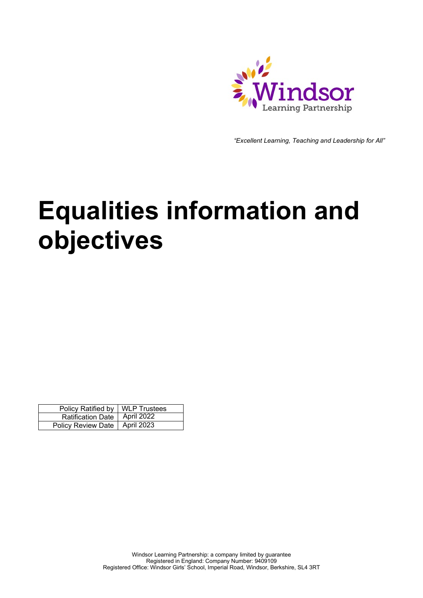

*"Excellent Learning, Teaching and Leadership for All"*

## **Equalities information and objectives**

| Policy Ratified by   WLP Trustees |  |
|-----------------------------------|--|
| Ratification Date   April 2022    |  |
| Policy Review Date   April 2023   |  |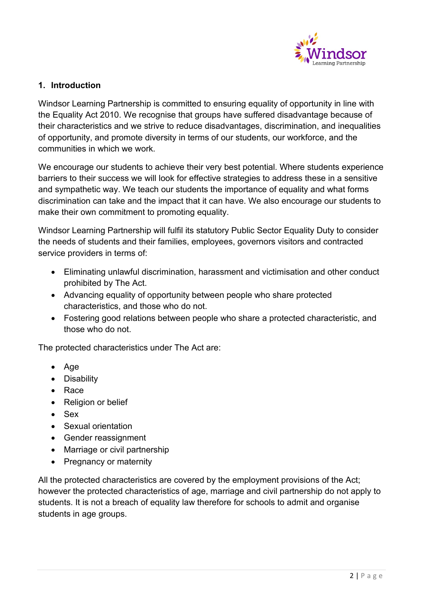

## **1. Introduction**

Windsor Learning Partnership is committed to ensuring equality of opportunity in line with the Equality Act 2010. We recognise that groups have suffered disadvantage because of their characteristics and we strive to reduce disadvantages, discrimination, and inequalities of opportunity, and promote diversity in terms of our students, our workforce, and the communities in which we work.

We encourage our students to achieve their very best potential. Where students experience barriers to their success we will look for effective strategies to address these in a sensitive and sympathetic way. We teach our students the importance of equality and what forms discrimination can take and the impact that it can have. We also encourage our students to make their own commitment to promoting equality.

Windsor Learning Partnership will fulfil its statutory Public Sector Equality Duty to consider the needs of students and their families, employees, governors visitors and contracted service providers in terms of:

- Eliminating unlawful discrimination, harassment and victimisation and other conduct prohibited by The Act.
- Advancing equality of opportunity between people who share protected characteristics, and those who do not.
- Fostering good relations between people who share a protected characteristic, and those who do not.

The protected characteristics under The Act are:

- Age
- Disability
- Race
- Religion or belief
- Sex
- Sexual orientation
- Gender reassignment
- Marriage or civil partnership
- Pregnancy or maternity

All the protected characteristics are covered by the employment provisions of the Act; however the protected characteristics of age, marriage and civil partnership do not apply to students. It is not a breach of equality law therefore for schools to admit and organise students in age groups.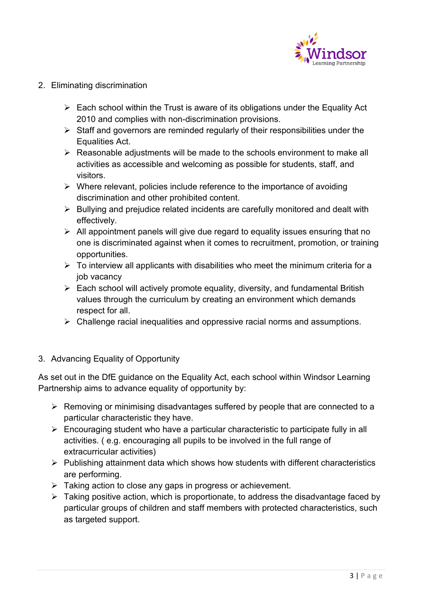

- 2. Eliminating discrimination
	- $\triangleright$  Each school within the Trust is aware of its obligations under the Equality Act 2010 and complies with non-discrimination provisions.
	- $\triangleright$  Staff and governors are reminded regularly of their responsibilities under the Equalities Act.
	- $\triangleright$  Reasonable adjustments will be made to the schools environment to make all activities as accessible and welcoming as possible for students, staff, and visitors.
	- $\triangleright$  Where relevant, policies include reference to the importance of avoiding discrimination and other prohibited content.
	- $\triangleright$  Bullying and prejudice related incidents are carefully monitored and dealt with effectively.
	- $\triangleright$  All appointment panels will give due regard to equality issues ensuring that no one is discriminated against when it comes to recruitment, promotion, or training opportunities.
	- $\triangleright$  To interview all applicants with disabilities who meet the minimum criteria for a job vacancy
	- $\triangleright$  Each school will actively promote equality, diversity, and fundamental British values through the curriculum by creating an environment which demands respect for all.
	- $\triangleright$  Challenge racial inequalities and oppressive racial norms and assumptions.
- 3. Advancing Equality of Opportunity

As set out in the DfE guidance on the Equality Act, each school within Windsor Learning Partnership aims to advance equality of opportunity by:

- $\triangleright$  Removing or minimising disadvantages suffered by people that are connected to a particular characteristic they have.
- $\triangleright$  Encouraging student who have a particular characteristic to participate fully in all activities. ( e.g. encouraging all pupils to be involved in the full range of extracurricular activities)
- $\triangleright$  Publishing attainment data which shows how students with different characteristics are performing.
- $\triangleright$  Taking action to close any gaps in progress or achievement.
- $\triangleright$  Taking positive action, which is proportionate, to address the disadvantage faced by particular groups of children and staff members with protected characteristics, such as targeted support.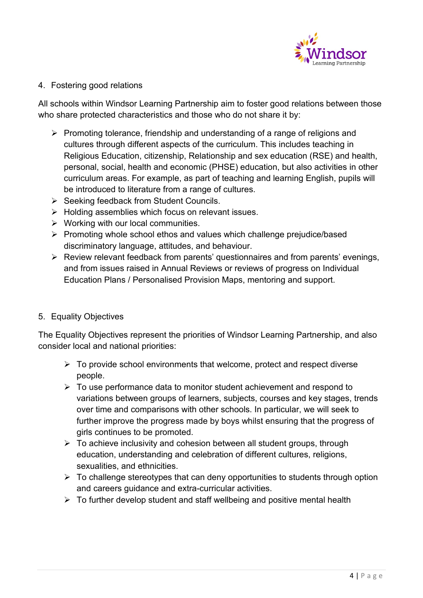

## 4. Fostering good relations

All schools within Windsor Learning Partnership aim to foster good relations between those who share protected characteristics and those who do not share it by:

- $\triangleright$  Promoting tolerance, friendship and understanding of a range of religions and cultures through different aspects of the curriculum. This includes teaching in Religious Education, citizenship, Relationship and sex education (RSE) and health, personal, social, health and economic (PHSE) education, but also activities in other curriculum areas. For example, as part of teaching and learning English, pupils will be introduced to literature from a range of cultures.
- $\triangleright$  Seeking feedback from Student Councils.
- $\triangleright$  Holding assemblies which focus on relevant issues.
- $\triangleright$  Working with our local communities.
- $\triangleright$  Promoting whole school ethos and values which challenge prejudice/based discriminatory language, attitudes, and behaviour.
- $\triangleright$  Review relevant feedback from parents' questionnaires and from parents' evenings, and from issues raised in Annual Reviews or reviews of progress on Individual Education Plans / Personalised Provision Maps, mentoring and support.
- 5. Equality Objectives

The Equality Objectives represent the priorities of Windsor Learning Partnership, and also consider local and national priorities:

- $\triangleright$  To provide school environments that welcome, protect and respect diverse people.
- $\triangleright$  To use performance data to monitor student achievement and respond to variations between groups of learners, subjects, courses and key stages, trends over time and comparisons with other schools. In particular, we will seek to further improve the progress made by boys whilst ensuring that the progress of girls continues to be promoted.
- $\triangleright$  To achieve inclusivity and cohesion between all student groups, through education, understanding and celebration of different cultures, religions, sexualities, and ethnicities.
- $\triangleright$  To challenge stereotypes that can deny opportunities to students through option and careers guidance and extra-curricular activities.
- $\triangleright$  To further develop student and staff wellbeing and positive mental health